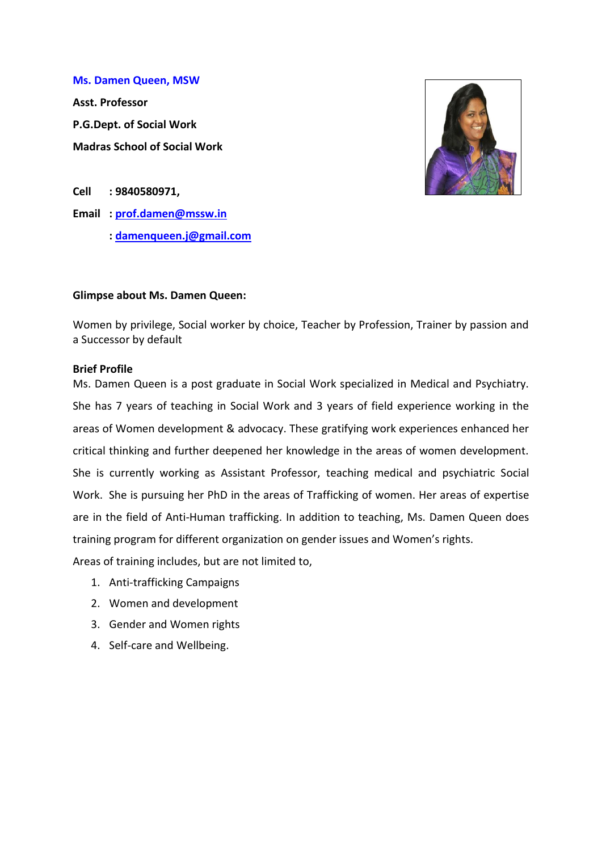**Ms. Damen Queen, MSW**

**Asst. Professor P.G.Dept. of Social Work Madras School of Social Work**



**Cell : 9840580971,** 

**Email : [prof.damen@mssw.in](mailto:prof.damen@mssw.in)**

**: [damenqueen.j@gmail.com](mailto:damenqueen.j@gmail.com)**

#### **Glimpse about Ms. Damen Queen:**

Women by privilege, Social worker by choice, Teacher by Profession, Trainer by passion and a Successor by default

#### **Brief Profile**

Ms. Damen Queen is a post graduate in Social Work specialized in Medical and Psychiatry. She has 7 years of teaching in Social Work and 3 years of field experience working in the areas of Women development & advocacy. These gratifying work experiences enhanced her critical thinking and further deepened her knowledge in the areas of women development. She is currently working as Assistant Professor, teaching medical and psychiatric Social Work. She is pursuing her PhD in the areas of Trafficking of women. Her areas of expertise are in the field of Anti-Human trafficking. In addition to teaching, Ms. Damen Queen does training program for different organization on gender issues and Women's rights.

Areas of training includes, but are not limited to,

- 1. Anti-trafficking Campaigns
- 2. Women and development
- 3. Gender and Women rights
- 4. Self-care and Wellbeing.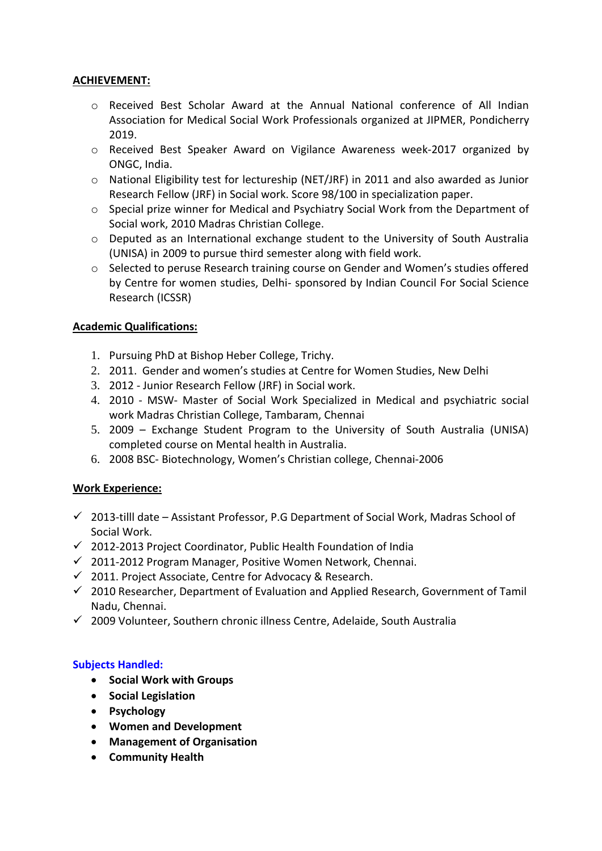# **ACHIEVEMENT:**

- o Received Best Scholar Award at the Annual National conference of All Indian Association for Medical Social Work Professionals organized at JIPMER, Pondicherry 2019.
- o Received Best Speaker Award on Vigilance Awareness week-2017 organized by ONGC, India.
- o National Eligibility test for lectureship (NET/JRF) in 2011 and also awarded as Junior Research Fellow (JRF) in Social work. Score 98/100 in specialization paper.
- $\circ$  Special prize winner for Medical and Psychiatry Social Work from the Department of Social work, 2010 Madras Christian College.
- o Deputed as an International exchange student to the University of South Australia (UNISA) in 2009 to pursue third semester along with field work.
- o Selected to peruse Research training course on Gender and Women's studies offered by Centre for women studies, Delhi- sponsored by Indian Council For Social Science Research (ICSSR)

# **Academic Qualifications:**

- 1. Pursuing PhD at Bishop Heber College, Trichy.
- 2. 2011. Gender and women's studies at Centre for Women Studies, New Delhi
- 3. 2012 Junior Research Fellow (JRF) in Social work.
- 4. 2010 MSW- Master of Social Work Specialized in Medical and psychiatric social work Madras Christian College, Tambaram, Chennai
- 5. 2009 Exchange Student Program to the University of South Australia (UNISA) completed course on Mental health in Australia.
- 6. 2008 BSC- Biotechnology, Women's Christian college, Chennai-2006

# **Work Experience:**

- $\checkmark$  2013-tilll date Assistant Professor, P.G Department of Social Work, Madras School of Social Work.
- $\checkmark$  2012-2013 Project Coordinator, Public Health Foundation of India
- $\checkmark$  2011-2012 Program Manager, Positive Women Network, Chennai.
- $\checkmark$  2011. Project Associate, Centre for Advocacy & Research.
- $\checkmark$  2010 Researcher, Department of Evaluation and Applied Research, Government of Tamil Nadu, Chennai.
- $\checkmark$  2009 Volunteer, Southern chronic illness Centre, Adelaide, South Australia

# **Subjects Handled:**

- **•** Social Work with Groups
- **•** Social Legislation
- **Psychology**
- **Women and Development**
- **Management of Organisation**
- **Community Health**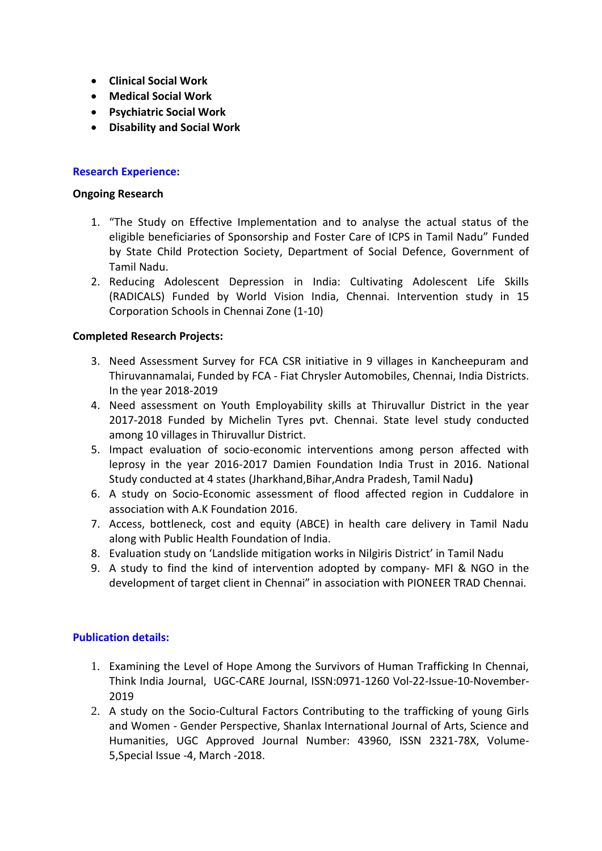- **Clinical Social Work**
- **Medical Social Work**
- **Psychiatric Social Work**
- **Disability and Social Work**

# **Research Experience:**

#### **Ongoing Research**

- 1. "The Study on Effective Implementation and to analyse the actual status of the eligible beneficiaries of Sponsorship and Foster Care of ICPS in Tamil Nadu" Funded by State Child Protection Society, Department of Social Defence, Government of Tamil Nadu.
- 2. Reducing Adolescent Depression in India: Cultivating Adolescent Life Skills (RADICALS) Funded by World Vision India, Chennai. Intervention study in 15 Corporation Schools in Chennai Zone (1-10)

#### **Completed Research Projects:**

- 3. Need Assessment Survey for FCA CSR initiative in 9 villages in Kancheepuram and Thiruvannamalai, Funded by FCA - [Fiat Chrysler Automobiles, Chennai, India](https://www.google.com/url?sa=t&rct=j&q=&esrc=s&source=web&cd=2&ved=2ahUKEwjpmuKf5-_hAhUYT30KHaGAAg4QFjABegQIAhAB&url=https%3A%2F%2Fwww.glassdoor.co.in%2FSalary%2FFCA-Fiat-Chrysler-Automobiles-Chennai-Salaries-EI_IE149.0%2C29_IL.30%2C37_IM1067.htm&usg=AOvVaw3VSFWxNBRwrNWLd0zRSbdL) Districts. In the year 2018-2019
- 4. Need assessment on Youth Employability skills at Thiruvallur District in the year 2017-2018 Funded by Michelin Tyres pvt. Chennai. State level study conducted among 10 villages in Thiruvallur District.
- 5. Impact evaluation of socio-economic interventions among person affected with leprosy in the year 2016-2017 Damien Foundation India Trust in 2016. National Study conducted at 4 states (Jharkhand,Bihar,Andra Pradesh, Tamil Nadu**)**
- 6. A study on Socio-Economic assessment of flood affected region in Cuddalore in association with A.K Foundation 2016.
- 7. Access, bottleneck, cost and equity (ABCE) in health care delivery in Tamil Nadu along with Public Health Foundation of India.
- 8. Evaluation study on 'Landslide mitigation works in Nilgiris District' in Tamil Nadu
- 9. A study to find the kind of intervention adopted by company- MFI & NGO in the development of target client in Chennai" in association with PIONEER TRAD Chennai.

#### **Publication details:**

- 1. Examining the Level of Hope Among the Survivors of Human Trafficking In Chennai, Think India Journal, UGC-CARE Journal, ISSN:0971-1260 Vol-22-Issue-10-November-2019
- 2. A study on the Socio-Cultural Factors Contributing to the trafficking of young Girls and Women - Gender Perspective, Shanlax International Journal of Arts, Science and Humanities, UGC Approved Journal Number: 43960, ISSN 2321-78X, Volume-5,Special Issue -4, March -2018.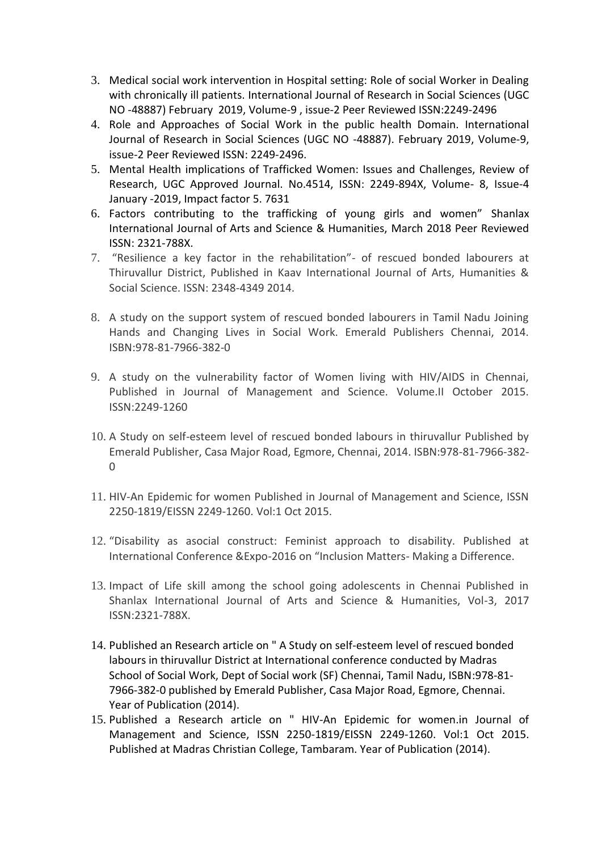- 3. Medical social work intervention in Hospital setting: Role of social Worker in Dealing with chronically ill patients. International Journal of Research in Social Sciences (UGC NO -48887) February 2019, Volume-9 , issue-2 Peer Reviewed ISSN:2249-2496
- 4. Role and Approaches of Social Work in the public health Domain. International Journal of Research in Social Sciences (UGC NO -48887). February 2019, Volume-9, issue-2 Peer Reviewed ISSN: 2249-2496.
- 5. Mental Health implications of Trafficked Women: Issues and Challenges, Review of Research, UGC Approved Journal. No.4514, ISSN: 2249-894X, Volume- 8, Issue-4 January -2019, Impact factor 5. 7631
- 6. Factors contributing to the trafficking of young girls and women" Shanlax International Journal of Arts and Science & Humanities, March 2018 Peer Reviewed ISSN: 2321-788X.
- 7. "Resilience a key factor in the rehabilitation"- of rescued bonded labourers at Thiruvallur District, Published in Kaav International Journal of Arts, Humanities & Social Science. ISSN: 2348-4349 2014.
- 8. A study on the support system of rescued bonded labourers in Tamil Nadu Joining Hands and Changing Lives in Social Work. Emerald Publishers Chennai, 2014. ISBN:978-81-7966-382-0
- 9. A study on the vulnerability factor of Women living with HIV/AIDS in Chennai, Published in Journal of Management and Science. Volume.II October 2015. ISSN:2249-1260
- 10. A Study on self-esteem level of rescued bonded labours in thiruvallur Published by Emerald Publisher, Casa Major Road, Egmore, Chennai, 2014. ISBN:978-81-7966-382-  $\Omega$
- 11. HIV-An Epidemic for women Published in Journal of Management and Science, ISSN 2250-1819/EISSN 2249-1260. Vol:1 Oct 2015.
- 12. "Disability as asocial construct: Feminist approach to disability. Published at International Conference &Expo-2016 on "Inclusion Matters- Making a Difference.
- 13. Impact of Life skill among the school going adolescents in Chennai Published in Shanlax International Journal of Arts and Science & Humanities, Vol-3, 2017 ISSN:2321-788X.
- 14. Published an Research article on " A Study on self-esteem level of rescued bonded labours in thiruvallur District at International conference conducted by Madras School of Social Work, Dept of Social work (SF) Chennai, Tamil Nadu, ISBN:978-81- 7966-382-0 published by Emerald Publisher, Casa Major Road, Egmore, Chennai. Year of Publication (2014).
- 15. Published a Research article on " HIV-An Epidemic for women.in Journal of Management and Science, ISSN 2250-1819/EISSN 2249-1260. Vol:1 Oct 2015. Published at Madras Christian College, Tambaram. Year of Publication (2014).